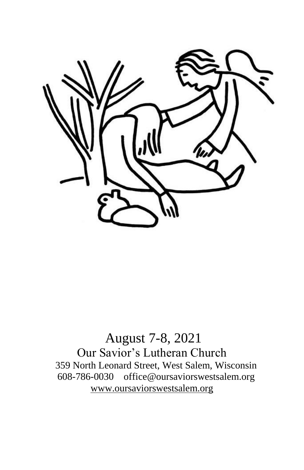

# August 7-8, 2021 Our Savior's Lutheran Church 359 North Leonard Street, West Salem, Wisconsin 608-786-0030 office@oursaviorswestsalem.org [www.oursaviorswestsalem.org](http://www.oursaviorswestsalem.org/)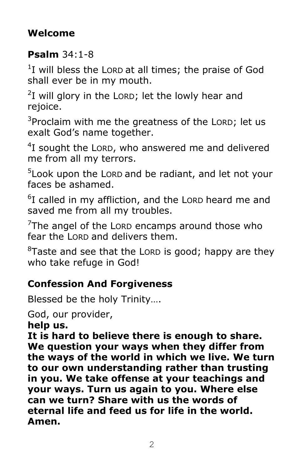# **Welcome**

# **Psalm** 34:1-8

 $1$ I will bless the Lorp at all times; the praise of God shall ever be in my mouth.

 $2I$  will glory in the LORD; let the lowly hear and rejoice.

 $3$ Proclaim with me the greatness of the LORD; let us exalt God's name together.

 $4$ I sought the LORD, who answered me and delivered me from all my terrors.

<sup>5</sup> Look upon the Lorp and be radiant, and let not your faces be ashamed.

<sup>6</sup>I called in my affliction, and the LORD heard me and saved me from all my troubles.

 $7$ The angel of the LORD encamps around those who fear the LORD and delivers them.

 ${}^{8}$ Taste and see that the LORD is good; happy are they who take refuge in God!

# **Confession And Forgiveness**

Blessed be the holy Trinity….

## God, our provider,

**help us.**

**It is hard to believe there is enough to share. We question your ways when they differ from the ways of the world in which we live. We turn to our own understanding rather than trusting in you. We take offense at your teachings and your ways. Turn us again to you. Where else can we turn? Share with us the words of eternal life and feed us for life in the world. Amen.**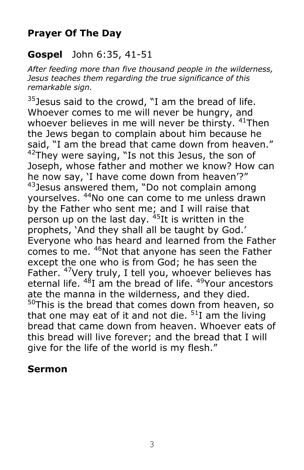## **Prayer Of The Day**

### **Gospel** John 6:35, 41-51

*After feeding more than five thousand people in the wilderness, Jesus teaches them regarding the true significance of this remarkable sign.*

 $35$  Jesus said to the crowd, "I am the bread of life. Whoever comes to me will never be hungry, and whoever believes in me will never be thirsty. <sup>41</sup>Then the Jews began to complain about him because he said, "I am the bread that came down from heaven."  $42$ They were saying, "Is not this Jesus, the son of Joseph, whose father and mother we know? How can he now say, 'I have come down from heaven'?"  $43$  Jesus answered them, "Do not complain among yourselves. <sup>44</sup>No one can come to me unless drawn by the Father who sent me; and I will raise that person up on the last day.  $45$ It is written in the prophets, 'And they shall all be taught by God.' Everyone who has heard and learned from the Father comes to me. <sup>46</sup>Not that anyone has seen the Father except the one who is from God; he has seen the Father. <sup>47</sup>Very truly, I tell you, whoever believes has eternal life. <sup>48</sup>I am the bread of life. <sup>49</sup>Your ancestors ate the manna in the wilderness, and they died.  $50$ This is the bread that comes down from heaven, so that one may eat of it and not die.  $51$  am the living bread that came down from heaven. Whoever eats of this bread will live forever; and the bread that I will give for the life of the world is my flesh."

### **Sermon**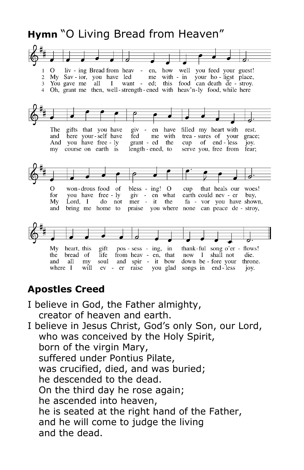# **Hymn** "O Living Bread from Heaven"



### **Apostles Creed**

- I believe in God, the Father almighty, creator of heaven and earth.
- I believe in Jesus Christ, God's only Son, our Lord, who was conceived by the Holy Spirit, born of the virgin Mary, suffered under Pontius Pilate, was crucified, died, and was buried; he descended to the dead. On the third day he rose again; he ascended into heaven, he is seated at the right hand of the Father, and he will come to judge the living and the dead.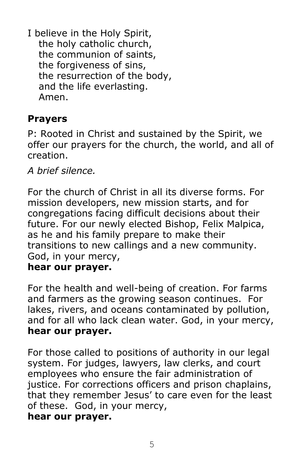I believe in the Holy Spirit, the holy catholic church, the communion of saints, the forgiveness of sins, the resurrection of the body, and the life everlasting. Amen.

## **Prayers**

P: Rooted in Christ and sustained by the Spirit, we offer our prayers for the church, the world, and all of creation.

*A brief silence.*

For the church of Christ in all its diverse forms. For mission developers, new mission starts, and for congregations facing difficult decisions about their future. For our newly elected Bishop, Felix Malpica, as he and his family prepare to make their transitions to new callings and a new community. God, in your mercy,

### **hear our prayer.**

For the health and well-being of creation. For farms and farmers as the growing season continues. For lakes, rivers, and oceans contaminated by pollution, and for all who lack clean water. God, in your mercy, **hear our prayer.**

For those called to positions of authority in our legal system. For judges, lawyers, law clerks, and court employees who ensure the fair administration of justice. For corrections officers and prison chaplains, that they remember Jesus' to care even for the least of these. God, in your mercy,

### **hear our prayer.**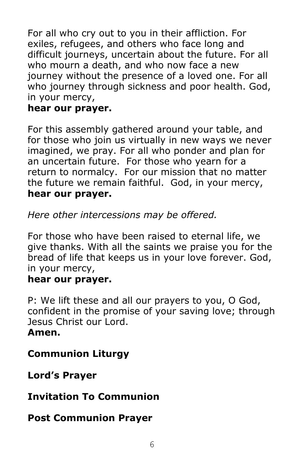For all who cry out to you in their affliction. For exiles, refugees, and others who face long and difficult journeys, uncertain about the future. For all who mourn a death, and who now face a new journey without the presence of a loved one. For all who journey through sickness and poor health. God, in your mercy,

### **hear our prayer.**

For this assembly gathered around your table, and for those who join us virtually in new ways we never imagined, we pray. For all who ponder and plan for an uncertain future. For those who yearn for a return to normalcy. For our mission that no matter the future we remain faithful. God, in your mercy, **hear our prayer.**

*Here other intercessions may be offered.*

For those who have been raised to eternal life, we give thanks. With all the saints we praise you for the bread of life that keeps us in your love forever. God, in your mercy,

### **hear our prayer.**

P: We lift these and all our prayers to you, O God, confident in the promise of your saving love; through Jesus Christ our Lord.

### **Amen.**

# **Communion Liturgy**

**Lord's Prayer**

## **Invitation To Communion**

## **Post Communion Prayer**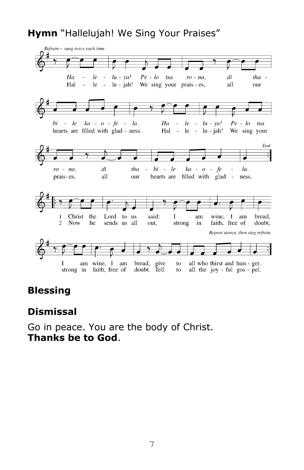## **Hymn** "Hallelujah! We Sing Your Praises"



### **Blessing**

#### **Dismissal**

Go in peace. You are the body of Christ. **Thanks be to God**.